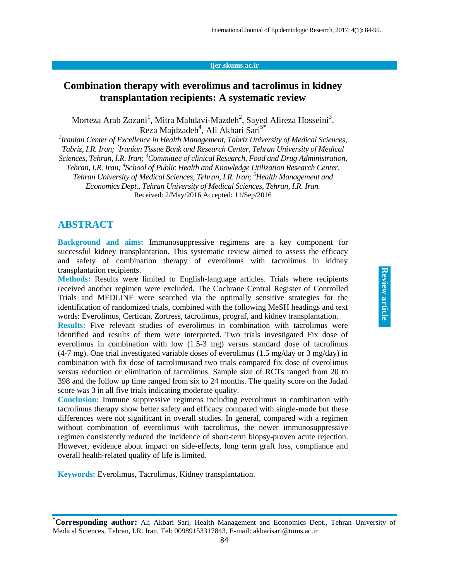#### **ijer.skums.ac.ir**

## **Combination therapy with everolimus and tacrolimus in kidney transplantation recipients: A systematic review**

Morteza Arab Zozani<sup>1</sup>, Mitra Mahdavi-Mazdeh<sup>2</sup>, Sayed Alireza Hosseini<sup>3</sup>, Reza Majdzadeh<sup>4</sup>, Ali Akbari Sari<sup>5\*</sup>

*1 Iranian Center of Excellence in Health Management, Tabriz University of Medical Sciences, Tabriz, I.R. Iran; 2 Iranian Tissue Bank and Research Center, Tehran University of Medical Sciences, Tehran, I.R. Iran; <sup>3</sup>Committee of clinical Research, Food and Drug Administration, Tehran, I.R. Iran; 4 School of Public Health and Knowledge Utilization Research Center, Tehran University of Medical Sciences, Tehran, I.R. Iran; <sup>5</sup>Health Management and Economics Dept., Tehran University of Medical Sciences, Tehran, I.R. Iran.* Received: 2/May/2016 Accepted: 11/Sep/2016

#### **ABSTRACT**

**Background and aims:** Immunosuppressive regimens are a key component for successful kidney transplantation. This systematic review aimed to assess the efficacy and safety of combination therapy of everolimus with tacrolimus in kidney transplantation recipients.

**Methods:** Results were limited to English-language articles. Trials where recipients received another regimen were excluded. The Cochrane Central Register of Controlled Trials and MEDLINE were searched via the optimally sensitive strategies for the identification of randomized trials, combined with the following MeSH headings and text words: Everolimus, Certican, Zortress, tacrolimus, prograf, and kidney transplantation.

**Results:** Five relevant studies of everolimus in combination with tacrolimus were identified and results of them were interpreted. Two trials investigated Fix dose of everolimus in combination with low (1.5-3 mg) versus standard dose of tacrolimus  $(4-7 \text{ mg})$ . One trial investigated variable doses of everolimus  $(1.5 \text{ mg/day})$  or 3 mg/day) in combination with fix dose of tacrolimusand two trials compared fix dose of everolimus versus reduction or elimination of tacrolimus. Sample size of RCTs ranged from 20 to 398 and the follow up time ranged from six to 24 months. The quality score on the Jadad score was 3 in all five trials indicating moderate quality.

**Conclusion:** Immune suppressive regimens including everolimus in combination with tacrolimus therapy show better safety and efficacy compared with single-mode but these differences were not significant in overall studies. In general, compared with a regimen without combination of everolimus with tacrolimus, the newer immunosuppressive regimen consistently reduced the incidence of short-term biopsy-proven acute rejection. However, evidence about impact on side-effects, long term graft loss, compliance and overall health-related quality of life is limited.

**Keywords:** Everolimus, Tacrolimus, Kidney transplantation.

**<sup>\*</sup>Corresponding author:** Ali Akbari Sari, Health Management and Economics Dept., Tehran University of Medical Sciences, Tehran, I.R. Iran, Tel: 00989153317843, E-mail: akbarisari@tums.ac.ir 84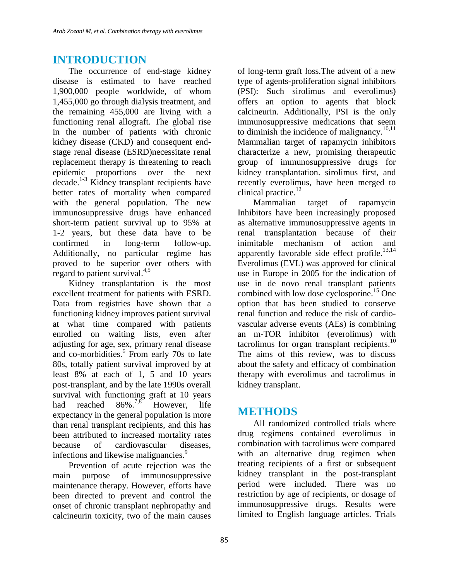# **INTRODUCTION**

The occurrence of end-stage kidney disease is estimated to have reached 1,900,000 people worldwide, of whom 1,455,000 go through dialysis treatment, and the remaining 455,000 are living with a functioning renal allograft. The global rise in the number of patients with chronic kidney disease (CKD) and consequent endstage renal disease (ESRD)necessitate renal replacement therapy is threatening to reach epidemic proportions over the next decade. 1-3 Kidney transplant recipients have better rates of mortality when compared with the general population. The new immunosuppressive drugs have enhanced short-term patient survival up to 95% at 1-2 years, but these data have to be confirmed in long-term follow-up. Additionally, no particular regime has proved to be superior over others with regard to patient survival.<sup>4,5</sup>

Kidney transplantation is the most excellent treatment for patients with ESRD. Data from registries have shown that a functioning kidney improves patient survival at what time compared with patients enrolled on waiting lists, even after adjusting for age, sex, primary renal disease and co-morbidities. 6 From early 70s to late 80s, totally patient survival improved by at least 8% at each of 1, 5 and 10 years post-transplant, and by the late 1990s overall survival with functioning graft at 10 years<br>had reached  $86\frac{\frac{7}{8}}{10}$  However life had reached However, life expectancy in the general population is more than renal transplant recipients, and this has been attributed to increased mortality rates because of cardiovascular diseases, infections and likewise malignancies.<sup>9</sup>

Prevention of acute rejection was the main purpose of immunosuppressive maintenance therapy. However, efforts have been directed to prevent and control the onset of chronic transplant nephropathy and calcineurin toxicity, two of the main causes

of long-term graft loss.The advent of a new type of agents-proliferation signal inhibitors (PSI): Such sirolimus and everolimus) offers an option to agents that block calcineurin. Additionally, PSI is the only immunosuppressive medications that seem to diminish the incidence of malignancy. $10,11$ Mammalian target of rapamycin inhibitors characterize a new, promising therapeutic group of immunosuppressive drugs for kidney transplantation. sirolimus first, and recently everolimus, have been merged to clinical practice. 12

Mammalian target of rapamycin Inhibitors have been increasingly proposed as alternative immunosuppressive agents in renal transplantation because of their inimitable mechanism of action and apparently favorable side effect profile. $^{13,14}$ Everolimus (EVL) was approved for clinical use in Europe in 2005 for the indication of use in de novo renal transplant patients combined with low dose cyclosporine. <sup>15</sup> One option that has been studied to conserve renal function and reduce the risk of cardiovascular adverse events (AEs) is combining an m-TOR inhibitor (everolimus) with tacrolimus for organ transplant recipients.<sup>10</sup> The aims of this review, was to discuss about the safety and efficacy of combination therapy with everolimus and tacrolimus in kidney transplant.

### **METHODS**

All randomized controlled trials where drug regimens contained everolimus in combination with tacrolimus were compared with an alternative drug regimen when treating recipients of a first or subsequent kidney transplant in the post-transplant period were included. There was no restriction by age of recipients, or dosage of immunosuppressive drugs. Results were limited to English language articles. Trials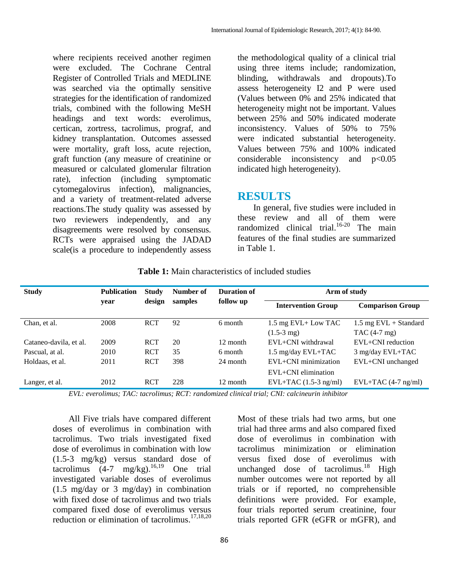where recipients received another regimen were excluded. The Cochrane Central Register of Controlled Trials and MEDLINE was searched via the optimally sensitive strategies for the identification of randomized trials, combined with the following MeSH headings and text words: everolimus, certican, zortress, tacrolimus, prograf, and kidney transplantation. Outcomes assessed were mortality, graft loss, acute rejection, graft function (any measure of creatinine or measured or calculated glomerular filtration rate), infection (including symptomatic cytomegalovirus infection), malignancies, and a variety of treatment-related adverse reactions.The study quality was assessed by two reviewers independently, and any disagreements were resolved by consensus. RCTs were appraised using the JADAD scale(is a procedure to independently assess

the methodological quality of a clinical trial using three items include; randomization, blinding, withdrawals and dropouts).To assess heterogeneity I2 and P were used (Values between 0% and 25% indicated that heterogeneity might not be important. Values between 25% and 50% indicated moderate inconsistency. Values of 50% to 75% were indicated substantial heterogeneity. Values between 75% and 100% indicated considerable inconsistency and p<0.05 indicated high heterogeneity).

#### **RESULTS**

In general, five studies were included in these review and all of them were randomized clinical trial. 16-20 The main features of the final studies are summarized in Table 1.

| <b>Study</b>           | <b>Publication</b> | <b>Study</b> | Number of | Duration of | Arm of study              |                                  |
|------------------------|--------------------|--------------|-----------|-------------|---------------------------|----------------------------------|
|                        | year               | design       | samples   | follow up   | <b>Intervention Group</b> | <b>Comparison Group</b>          |
| Chan, et al.           | 2008               | <b>RCT</b>   | 92        | 6 month     | 1.5 mg EVL+ Low TAC       | $1.5 \text{ mg }$ EVL + Standard |
|                        |                    |              |           |             | $(1.5-3 \text{ mg})$      | $TAC(4-7 mg)$                    |
| Cataneo-davila, et al. | 2009               | <b>RCT</b>   | 20        | 12 month    | $EVL + CNI$ withdrawal    | $EVL + CNI$ reduction            |
| Pascual, at al.        | 2010               | <b>RCT</b>   | 35        | 6 month     | 1.5 mg/day EVL+TAC        | 3 mg/day EVL+TAC                 |
| Holdaas, et al.        | 2011               | <b>RCT</b>   | 398       | 24 month    | EVL+CNI minimization      | EVL+CNI unchanged                |
|                        |                    |              |           |             | $EVL + CNI$ elimination   |                                  |
| Langer, et al.         | 2012               | <b>RCT</b>   | 228       | 12 month    | $EVL+TAC$ (1.5-3 ng/ml)   | $EVL+TAC$ (4-7 ng/ml)            |

**Table 1:** Main characteristics of included studies

*EVL: everolimus; TAC: tacrolimus; RCT: randomized clinical trial; CNI: calcineurin inhibitor*

All Five trials have compared different doses of everolimus in combination with tacrolimus. Two trials investigated fixed dose of everolimus in combination with low (1.5-3 mg/kg) versus standard dose of tacrolimus  $(4-7 \text{ mg/kg})$ .<sup>16,19</sup> One trial investigated variable doses of everolimus (1.5 mg/day or 3 mg/day) in combination with fixed dose of tacrolimus and two trials compared fixed dose of everolimus versus reduction or elimination of tacrolimus. 17,18,20

Most of these trials had two arms, but one trial had three arms and also compared fixed dose of everolimus in combination with tacrolimus minimization or elimination versus fixed dose of everolimus with unchanged dose of tacrolimus.<sup>18</sup> High number outcomes were not reported by all trials or if reported, no comprehensible definitions were provided. For example, four trials reported serum creatinine, four trials reported GFR (eGFR or mGFR), and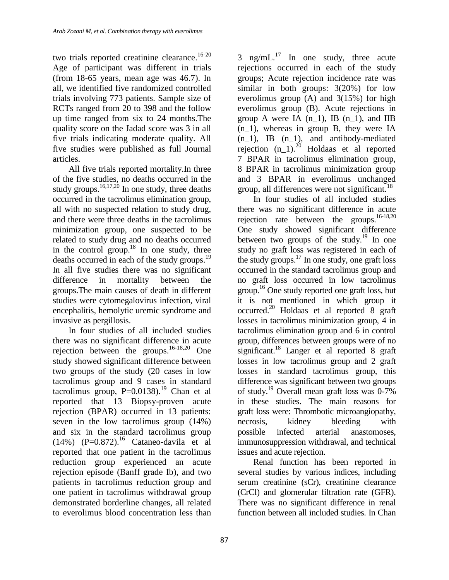two trials reported creatinine clearance.<sup>16-20</sup> Age of participant was different in trials (from 18-65 years, mean age was 46.7). In all, we identified five randomized controlled trials involving 773 patients. Sample size of RCTs ranged from 20 to 398 and the follow up time ranged from six to 24 months.The quality score on the Jadad score was 3 in all five trials indicating moderate quality. All five studies were published as full Journal articles.

All five trials reported mortality.In three of the five studies, no deaths occurred in the study groups.  $16,17,20$  In one study, three deaths occurred in the tacrolimus elimination group, all with no suspected relation to study drug, and there were three deaths in the tacrolimus minimization group, one suspected to be related to study drug and no deaths occurred in the control group.<sup>18</sup> In one study, three deaths occurred in each of the study groups. 19 In all five studies there was no significant difference in mortality between the groups.The main causes of death in different studies were cytomegalovirus infection, viral encephalitis, hemolytic uremic syndrome and invasive as pergillosis.

In four studies of all included studies there was no significant difference in acute rejection between the groups.<sup>16-18,20</sup> One study showed significant difference between two groups of the study (20 cases in low tacrolimus group and 9 cases in standard tacrolimus group,  $P=0.0138$ ).<sup>19</sup> Chan et al reported that 13 Biopsy-proven acute rejection (BPAR) occurred in 13 patients: seven in the low tacrolimus group (14%) and six in the standard tacrolimus group  $(14%)$   $(P=0.872).$ <sup>16</sup> Cataneo-davila et al reported that one patient in the tacrolimus reduction group experienced an acute rejection episode (Banff grade Ib), and two patients in tacrolimus reduction group and one patient in tacrolimus withdrawal group demonstrated borderline changes, all related to everolimus blood concentration less than

3 ng/mL $^{17}$  In one study, three acute rejections occurred in each of the study groups; Acute rejection incidence rate was similar in both groups: 3(20%) for low everolimus group (A) and 3(15%) for high everolimus group (B). Acute rejections in group A were IA  $(n_1)$ , IB  $(n_1)$ , and IIB (n\_1), whereas in group B, they were IA  $(n_1)$ , IB  $(n_1)$ , and antibody-mediated rejection  $(n_1)$ .<sup>20</sup> Holdaas et al reported 7 BPAR in tacrolimus elimination group, 8 BPAR in tacrolimus minimization group and 3 BPAR in everolimus unchanged group, all differences were not significant.<sup>18</sup>

In four studies of all included studies there was no significant difference in acute rejection rate between the groups.  $16-18,20$ One study showed significant difference between two groups of the study.<sup>19</sup> In one study no graft loss was registered in each of the study groups. <sup>17</sup> In one study, one graft loss occurred in the standard tacrolimus group and no graft loss occurred in low tacrolimus group.<sup>16</sup> One study reported one graft loss, but it is not mentioned in which group it occurred. <sup>20</sup> Holdaas et al reported 8 graft losses in tacrolimus minimization group, 4 in tacrolimus elimination group and 6 in control group, differences between groups were of no significant.<sup>18</sup> Langer et al reported 8 graft losses in low tacrolimus group and 2 graft losses in standard tacrolimus group, this difference was significant between two groups of study. <sup>19</sup> Overall mean graft loss was 0-7% in these studies. The main reasons for graft loss were: Thrombotic microangiopathy, necrosis, kidney bleeding with possible infected arterial anastomoses, immunosuppression withdrawal, and technical issues and acute rejection.

Renal function has been reported in several studies by various indices, including serum creatinine (sCr), creatinine clearance (CrCl) and glomerular filtration rate (GFR). There was no significant difference in renal function between all included studies. In Chan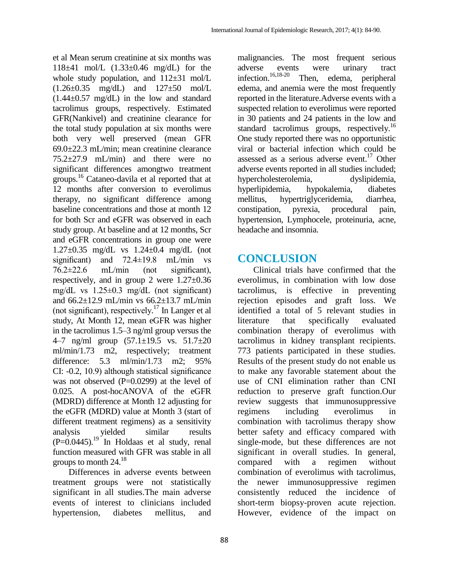et al Mean serum creatinine at six months was 118±41 mol/L (1.33±0.46 mg/dL) for the whole study population, and  $112\pm31$  mol/L (1.26±0.35 mg/dL) and 127±50 mol/L  $(1.44\pm0.57 \text{ mg/dL})$  in the low and standard tacrolimus groups, respectively. Estimated GFR(Nankivel) and creatinine clearance for the total study population at six months were both very well preserved (mean GFR 69.0±22.3 mL/min; mean creatinine clearance 75.2±27.9 mL/min) and there were no significant differences amongtwo treatment groups. <sup>16</sup> Cataneo-davila et al reported that at 12 months after conversion to everolimus therapy, no significant difference among baseline concentrations and those at month 12 for both Scr and eGFR was observed in each study group. At baseline and at 12 months, Scr and eGFR concentrations in group one were 1.27±0.35 mg/dL vs 1.24±0.4 mg/dL (not significant) and 72.4±19.8 mL/min vs  $76.2 \pm 22.6$  mL/min (not significant), respectively, and in group 2 were  $1.27 \pm 0.36$ mg/dL vs 1.25±0.3 mg/dL (not significant) and 66.2±12.9 mL/min vs 66.2±13.7 mL/min (not significant), respectively.<sup>17</sup> In Langer et al study, At Month 12, mean eGFR was higher in the tacrolimus 1.5–3 ng/ml group versus the 4–7 ng/ml group (57.1±19.5 vs. 51.7±20 ml/min/1.73 m2, respectively; treatment difference: 5.3 ml/min/1.73 m2; 95% CI: -0.2, 10.9) although statistical significance was not observed  $(P=0.0299)$  at the level of 0.025. A post-hocANOVA of the eGFR (MDRD) difference at Month 12 adjusting for the eGFR (MDRD) value at Month 3 (start of different treatment regimens) as a sensitivity analysis yielded similar results  $(P=0.0445)$ .<sup>19</sup> In Holdaas et al study, renal function measured with GFR was stable in all groups to month 24. 18

Differences in adverse events between treatment groups were not statistically significant in all studies.The main adverse events of interest to clinicians included hypertension, diabetes mellitus, and

malignancies. The most frequent serious adverse events were urinary tract infection.  $16,18-20$ Then, edema, peripheral edema, and anemia were the most frequently reported in the literature.Adverse events with a suspected relation to everolimus were reported in 30 patients and 24 patients in the low and standard tacrolimus groups, respectively.<sup>16</sup> One study reported there was no opportunistic viral or bacterial infection which could be assessed as a serious adverse event.<sup>17</sup> Other adverse events reported in all studies included; hypercholesterolemia, dyslipidemia, hyperlipidemia, hypokalemia, diabetes mellitus, hypertriglyceridemia, diarrhea, constipation, pyrexia, procedural pain, hypertension, Lymphocele, proteinuria, acne, headache and insomnia.

## **CONCLUSION**

Clinical trials have confirmed that the everolimus, in combination with low dose tacrolimus, is effective in preventing rejection episodes and graft loss. We identified a total of 5 relevant studies in literature that specifically evaluated combination therapy of everolimus with tacrolimus in kidney transplant recipients. 773 patients participated in these studies. Results of the present study do not enable us to make any favorable statement about the use of CNI elimination rather than CNI reduction to preserve graft function.Our review suggests that immunosuppressive regimens including everolimus in combination with tacrolimus therapy show better safety and efficacy compared with single-mode, but these differences are not significant in overall studies. In general, compared with a regimen without combination of everolimus with tacrolimus, the newer immunosuppressive regimen consistently reduced the incidence of short-term biopsy-proven acute rejection. However, evidence of the impact on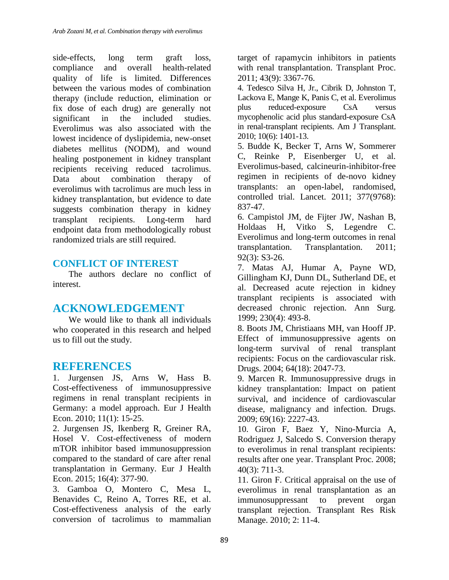side-effects, long term graft loss, compliance and overall health-related quality of life is limited. Differences between the various modes of combination therapy (include reduction, elimination or fix dose of each drug) are generally not significant in the included studies. Everolimus was also associated with the lowest incidence of dyslipidemia, new-onset diabetes mellitus (NODM), and wound healing postponement in kidney transplant recipients receiving reduced tacrolimus. Data about combination therapy of everolimus with tacrolimus are much less in kidney transplantation, but evidence to date suggests combination therapy in kidney transplant recipients. Long-term hard endpoint data from methodologically robust randomized trials are still required.

#### **CONFLICT OF INTEREST**

The authors declare no conflict of interest.

### **ACKNOWLEDGEMENT**

We would like to thank all individuals who cooperated in this research and helped us to fill out the study.

### **REFERENCES**

1. Jurgensen JS, Arns W, Hass B. Cost-effectiveness of immunosuppressive regimens in renal transplant recipients in Germany: a model approach. Eur J Health Econ. 2010; 11(1): 15-25.

2. Jurgensen JS, Ikenberg R, Greiner RA, Hosel V. Cost-effectiveness of modern mTOR inhibitor based immunosuppression compared to the standard of care after renal transplantation in Germany. Eur J Health Econ. 2015; 16(4): 377-90.

3. Gamboa O, Montero C, Mesa L, Benavides C, Reino A, Torres RE, et al. Cost-effectiveness analysis of the early conversion of tacrolimus to mammalian

target of rapamycin inhibitors in patients with renal transplantation. Transplant Proc. 2011; 43(9): 3367-76.

4. Tedesco Silva H, Jr., Cibrik D, Johnston T, Lackova E, Mange K, Panis C, et al. Everolimus plus reduced-exposure CsA versus mycophenolic acid plus standard-exposure CsA in renal-transplant recipients. Am J Transplant. 2010; 10(6): 1401-13.

5. Budde K, Becker T, Arns W, Sommerer C, Reinke P, Eisenberger U, et al. Everolimus-based, calcineurin-inhibitor-free regimen in recipients of de-novo kidney transplants: an open-label, randomised, controlled trial. Lancet. 2011; 377(9768): 837-47.

6. Campistol JM, de Fijter JW, Nashan B, Holdaas H, Vitko S, Legendre C. Everolimus and long-term outcomes in renal transplantation. Transplantation. 2011; 92(3): S3-26.

7. Matas AJ, Humar A, Payne WD, Gillingham KJ, Dunn DL, Sutherland DE, et al. Decreased acute rejection in kidney transplant recipients is associated with decreased chronic rejection. Ann Surg. 1999; 230(4): 493-8.

8. Boots JM, Christiaans MH, van Hooff JP. Effect of immunosuppressive agents on long-term survival of renal transplant recipients: Focus on the cardiovascular risk. Drugs. 2004; 64(18): 2047-73.

9. Marcen R. Immunosuppressive drugs in kidney transplantation: Impact on patient survival, and incidence of cardiovascular disease, malignancy and infection. Drugs. 2009; 69(16): 2227-43.

10. Giron F, Baez Y, Nino-Murcia A, Rodriguez J, Salcedo S. Conversion therapy to everolimus in renal transplant recipients: results after one year. Transplant Proc. 2008; 40(3): 711-3.

11. Giron F. Critical appraisal on the use of everolimus in renal transplantation as an immunosuppressant to prevent organ transplant rejection. Transplant Res Risk Manage. 2010; 2: 11-4.